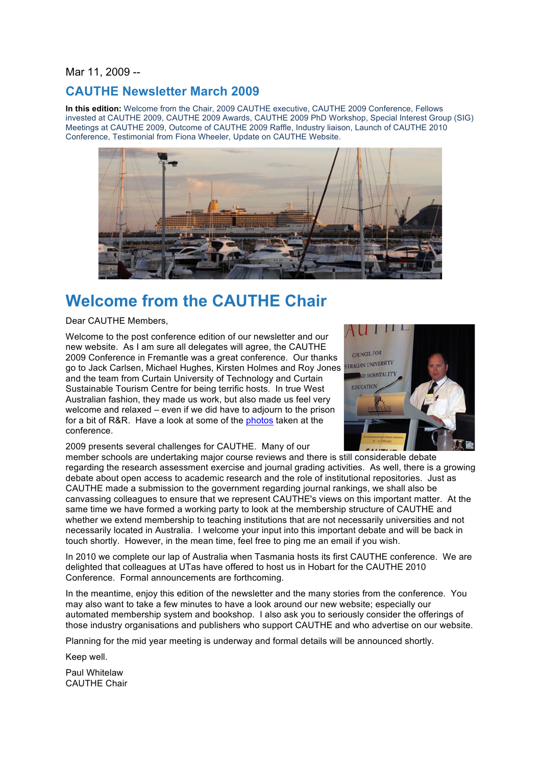Mar 11, 2009 --

# **CAUTHE Newsletter March 2009**

**In this edition:** Welcome from the Chair, 2009 CAUTHE executive, CAUTHE 2009 Conference, Fellows invested at CAUTHE 2009, CAUTHE 2009 Awards, CAUTHE 2009 PhD Workshop, Special Interest Group (SIG) Meetings at CAUTHE 2009, Outcome of CAUTHE 2009 Raffle, Industry liaison, Launch of CAUTHE 2010 Conference, Testimonial from Fiona Wheeler, Update on CAUTHE Website.



# **Welcome from the CAUTHE Chair**

Dear CAUTHE Members,

Welcome to the post conference edition of our newsletter and our new website. As I am sure all delegates will agree, the CAUTHE 2009 Conference in Fremantle was a great conference. Our thanks go to Jack Carlsen, Michael Hughes, Kirsten Holmes and Roy Jones and the team from Curtain University of Technology and Curtain Sustainable Tourism Centre for being terrific hosts. In true West Australian fashion, they made us work, but also made us feel very welcome and relaxed – even if we did have to adjourn to the prison for a bit of R&R. Have a look at some of the photos taken at the conference.



2009 presents several challenges for CAUTHE. Many of our

member schools are undertaking major course reviews and there is still considerable debate regarding the research assessment exercise and journal grading activities. As well, there is a growing debate about open access to academic research and the role of institutional repositories. Just as CAUTHE made a submission to the government regarding journal rankings, we shall also be canvassing colleagues to ensure that we represent CAUTHE's views on this important matter. At the same time we have formed a working party to look at the membership structure of CAUTHE and whether we extend membership to teaching institutions that are not necessarily universities and not necessarily located in Australia. I welcome your input into this important debate and will be back in touch shortly. However, in the mean time, feel free to ping me an email if you wish.

In 2010 we complete our lap of Australia when Tasmania hosts its first CAUTHE conference. We are delighted that colleagues at UTas have offered to host us in Hobart for the CAUTHE 2010 Conference. Formal announcements are forthcoming.

In the meantime, enjoy this edition of the newsletter and the many stories from the conference. You may also want to take a few minutes to have a look around our new website; especially our automated membership system and bookshop. I also ask you to seriously consider the offerings of those industry organisations and publishers who support CAUTHE and who advertise on our website.

Planning for the mid year meeting is underway and formal details will be announced shortly.

Keep well.

Paul Whitelaw CAUTHE Chair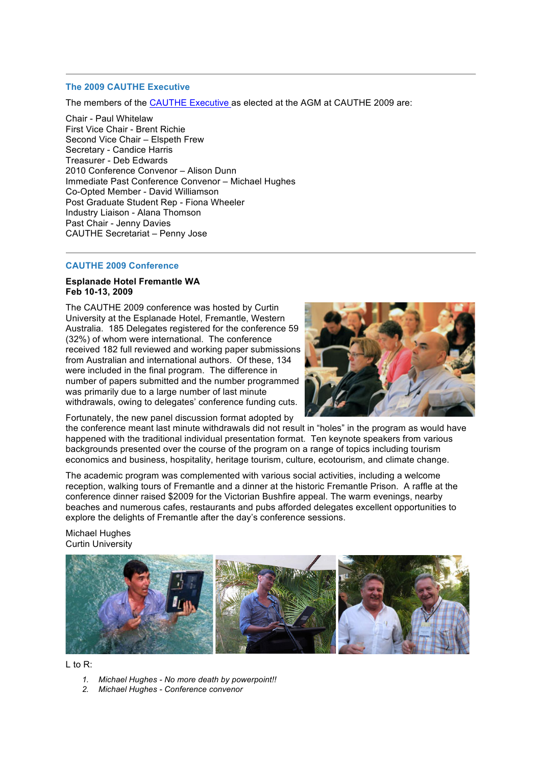# **The 2009 CAUTHE Executive**

The members of the CAUTHE Executive as elected at the AGM at CAUTHE 2009 are:

Chair - Paul Whitelaw First Vice Chair - Brent Richie Second Vice Chair – Elspeth Frew Secretary - Candice Harris Treasurer - Deb Edwards 2010 Conference Convenor – Alison Dunn Immediate Past Conference Convenor – Michael Hughes Co-Opted Member - David Williamson Post Graduate Student Rep - Fiona Wheeler Industry Liaison - Alana Thomson Past Chair - Jenny Davies CAUTHE Secretariat – Penny Jose

# **CAUTHE 2009 Conference**

#### **Esplanade Hotel Fremantle WA Feb 10-13, 2009**

The CAUTHE 2009 conference was hosted by Curtin University at the Esplanade Hotel, Fremantle, Western Australia. 185 Delegates registered for the conference 59 (32%) of whom were international. The conference received 182 full reviewed and working paper submissions from Australian and international authors. Of these, 134 were included in the final program. The difference in number of papers submitted and the number programmed was primarily due to a large number of last minute withdrawals, owing to delegates' conference funding cuts.



Fortunately, the new panel discussion format adopted by

the conference meant last minute withdrawals did not result in "holes" in the program as would have happened with the traditional individual presentation format. Ten keynote speakers from various backgrounds presented over the course of the program on a range of topics including tourism economics and business, hospitality, heritage tourism, culture, ecotourism, and climate change.

The academic program was complemented with various social activities, including a welcome reception, walking tours of Fremantle and a dinner at the historic Fremantle Prison. A raffle at the conference dinner raised \$2009 for the Victorian Bushfire appeal. The warm evenings, nearby beaches and numerous cafes, restaurants and pubs afforded delegates excellent opportunities to explore the delights of Fremantle after the day's conference sessions.

Michael Hughes Curtin University



# $L$  to R:

- *1. Michael Hughes - No more death by powerpoint!!*
- *2. Michael Hughes - Conference convenor*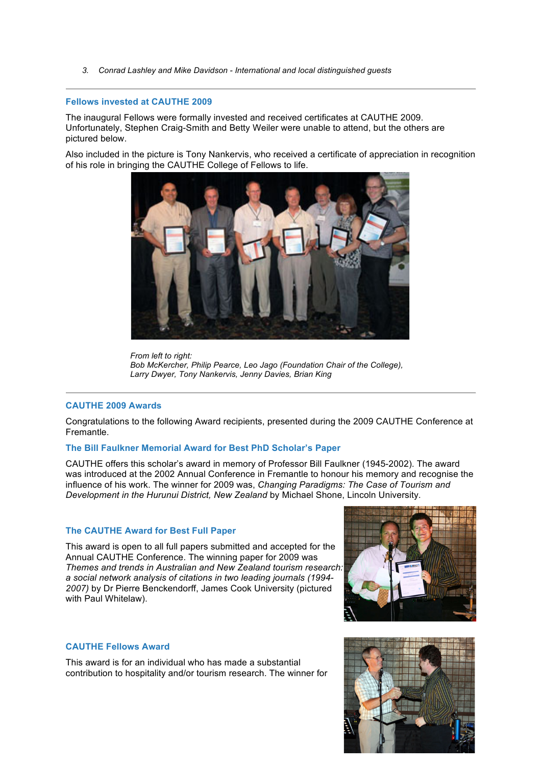*3. Conrad Lashley and Mike Davidson - International and local distinguished guests*

### **Fellows invested at CAUTHE 2009**

The inaugural Fellows were formally invested and received certificates at CAUTHE 2009. Unfortunately, Stephen Craig-Smith and Betty Weiler were unable to attend, but the others are pictured below.

Also included in the picture is Tony Nankervis, who received a certificate of appreciation in recognition of his role in bringing the CAUTHE College of Fellows to life.



*From left to right: Bob McKercher, Philip Pearce, Leo Jago (Foundation Chair of the College), Larry Dwyer, Tony Nankervis, Jenny Davies, Brian King*

# **CAUTHE 2009 Awards**

Congratulations to the following Award recipients, presented during the 2009 CAUTHE Conference at Fremantle.

# **The Bill Faulkner Memorial Award for Best PhD Scholar's Paper**

CAUTHE offers this scholar's award in memory of Professor Bill Faulkner (1945-2002). The award was introduced at the 2002 Annual Conference in Fremantle to honour his memory and recognise the influence of his work. The winner for 2009 was, *Changing Paradigms: The Case of Tourism and Development in the Hurunui District, New Zealand* by Michael Shone, Lincoln University.

# **The CAUTHE Award for Best Full Paper**

This award is open to all full papers submitted and accepted for the Annual CAUTHE Conference. The winning paper for 2009 was *Themes and trends in Australian and New Zealand tourism research: a social network analysis of citations in two leading journals (1994- 2007)* by Dr Pierre Benckendorff, James Cook University (pictured with Paul Whitelaw).



# **CAUTHE Fellows Award**

This award is for an individual who has made a substantial contribution to hospitality and/or tourism research. The winner for

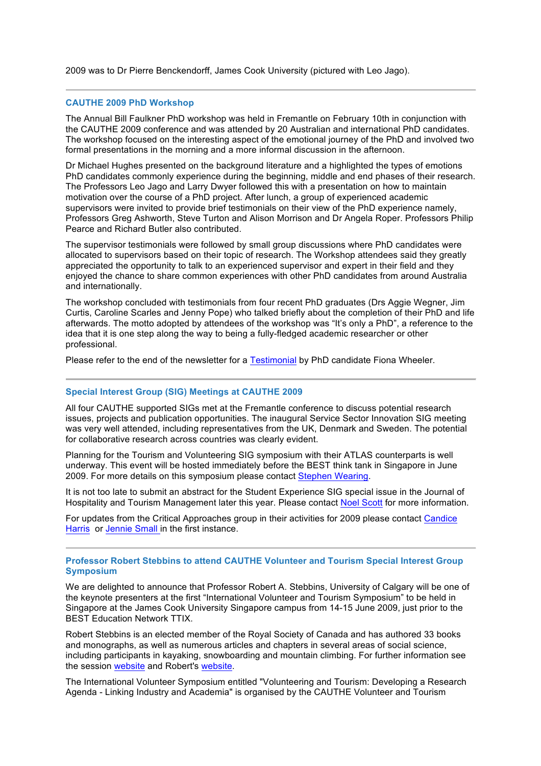2009 was to Dr Pierre Benckendorff, James Cook University (pictured with Leo Jago).

#### **CAUTHE 2009 PhD Workshop**

The Annual Bill Faulkner PhD workshop was held in Fremantle on February 10th in conjunction with the CAUTHE 2009 conference and was attended by 20 Australian and international PhD candidates. The workshop focused on the interesting aspect of the emotional journey of the PhD and involved two formal presentations in the morning and a more informal discussion in the afternoon.

Dr Michael Hughes presented on the background literature and a highlighted the types of emotions PhD candidates commonly experience during the beginning, middle and end phases of their research. The Professors Leo Jago and Larry Dwyer followed this with a presentation on how to maintain motivation over the course of a PhD project. After lunch, a group of experienced academic supervisors were invited to provide brief testimonials on their view of the PhD experience namely, Professors Greg Ashworth, Steve Turton and Alison Morrison and Dr Angela Roper. Professors Philip Pearce and Richard Butler also contributed.

The supervisor testimonials were followed by small group discussions where PhD candidates were allocated to supervisors based on their topic of research. The Workshop attendees said they greatly appreciated the opportunity to talk to an experienced supervisor and expert in their field and they enjoyed the chance to share common experiences with other PhD candidates from around Australia and internationally.

The workshop concluded with testimonials from four recent PhD graduates (Drs Aggie Wegner, Jim Curtis, Caroline Scarles and Jenny Pope) who talked briefly about the completion of their PhD and life afterwards. The motto adopted by attendees of the workshop was "It's only a PhD", a reference to the idea that it is one step along the way to being a fully-fledged academic researcher or other professional.

Please refer to the end of the newsletter for a Testimonial by PhD candidate Fiona Wheeler.

#### **Special Interest Group (SIG) Meetings at CAUTHE 2009**

All four CAUTHE supported SIGs met at the Fremantle conference to discuss potential research issues, projects and publication opportunities. The inaugural Service Sector Innovation SIG meeting was very well attended, including representatives from the UK, Denmark and Sweden. The potential for collaborative research across countries was clearly evident.

Planning for the Tourism and Volunteering SIG symposium with their ATLAS counterparts is well underway. This event will be hosted immediately before the BEST think tank in Singapore in June 2009. For more details on this symposium please contact Stephen Wearing.

It is not too late to submit an abstract for the Student Experience SIG special issue in the Journal of Hospitality and Tourism Management later this year. Please contact Noel Scott for more information.

For updates from the Critical Approaches group in their activities for 2009 please contact Candice Harris or Jennie Small in the first instance.

#### **Professor Robert Stebbins to attend CAUTHE Volunteer and Tourism Special Interest Group Symposium**

We are delighted to announce that Professor Robert A. Stebbins, University of Calgary will be one of the keynote presenters at the first "International Volunteer and Tourism Symposium" to be held in Singapore at the James Cook University Singapore campus from 14-15 June 2009, just prior to the BEST Education Network TTIX.

Robert Stebbins is an elected member of the Royal Society of Canada and has authored 33 books and monographs, as well as numerous articles and chapters in several areas of social science, including participants in kayaking, snowboarding and mountain climbing. For further information see the session website and Robert's website.

The International Volunteer Symposium entitled "Volunteering and Tourism: Developing a Research Agenda - Linking Industry and Academia" is organised by the CAUTHE Volunteer and Tourism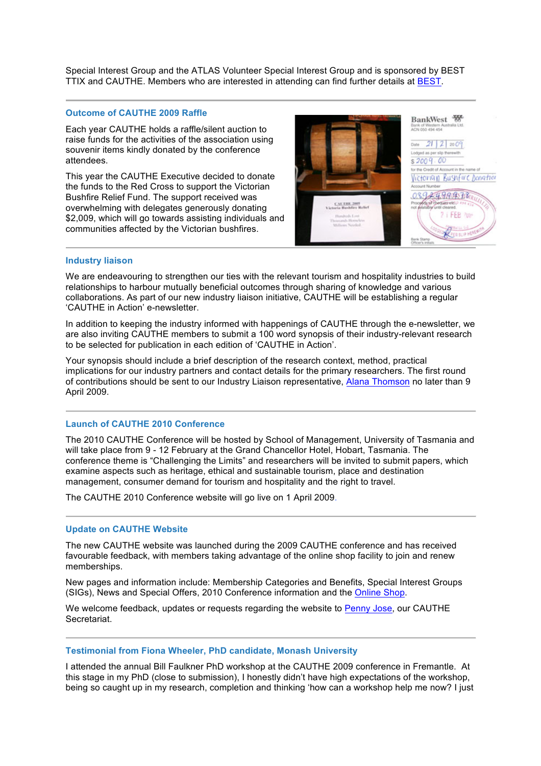Special Interest Group and the ATLAS Volunteer Special Interest Group and is sponsored by BEST TTIX and CAUTHE. Members who are interested in attending can find further details at BEST.

#### **Outcome of CAUTHE 2009 Raffle**

Each year CAUTHE holds a raffle/silent auction to raise funds for the activities of the association using souvenir items kindly donated by the conference attendees.

This year the CAUTHE Executive decided to donate the funds to the Red Cross to support the Victorian Bushfire Relief Fund. The support received was overwhelming with delegates generously donating \$2,009, which will go towards assisting individuals and communities affected by the Victorian bushfires.



#### **Industry liaison**

We are endeavouring to strengthen our ties with the relevant tourism and hospitality industries to build relationships to harbour mutually beneficial outcomes through sharing of knowledge and various collaborations. As part of our new industry liaison initiative, CAUTHE will be establishing a regular 'CAUTHE in Action' e-newsletter.

In addition to keeping the industry informed with happenings of CAUTHE through the e-newsletter, we are also inviting CAUTHE members to submit a 100 word synopsis of their industry-relevant research to be selected for publication in each edition of 'CAUTHE in Action'.

Your synopsis should include a brief description of the research context, method, practical implications for our industry partners and contact details for the primary researchers. The first round of contributions should be sent to our Industry Liaison representative, Alana Thomson no later than 9 April 2009.

#### **Launch of CAUTHE 2010 Conference**

The 2010 CAUTHE Conference will be hosted by School of Management, University of Tasmania and will take place from 9 - 12 February at the Grand Chancellor Hotel, Hobart, Tasmania. The conference theme is "Challenging the Limits" and researchers will be invited to submit papers, which examine aspects such as heritage, ethical and sustainable tourism, place and destination management, consumer demand for tourism and hospitality and the right to travel.

The CAUTHE 2010 Conference website will go live on 1 April 2009.

### **Update on CAUTHE Website**

The new CAUTHE website was launched during the 2009 CAUTHE conference and has received favourable feedback, with members taking advantage of the online shop facility to join and renew memberships.

New pages and information include: Membership Categories and Benefits, Special Interest Groups (SIGs), News and Special Offers, 2010 Conference information and the Online Shop.

We welcome feedback, updates or requests regarding the website to Penny Jose, our CAUTHE Secretariat.

#### **Testimonial from Fiona Wheeler, PhD candidate, Monash University**

I attended the annual Bill Faulkner PhD workshop at the CAUTHE 2009 conference in Fremantle. At this stage in my PhD (close to submission), I honestly didn't have high expectations of the workshop, being so caught up in my research, completion and thinking 'how can a workshop help me now? I just